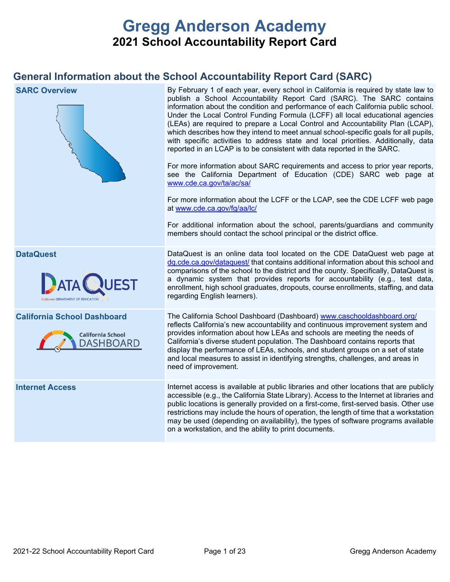# **Gregg Anderson Academy 2021 School Accountability Report Card**

# **General Information about the School Accountability Report Card (SARC)**

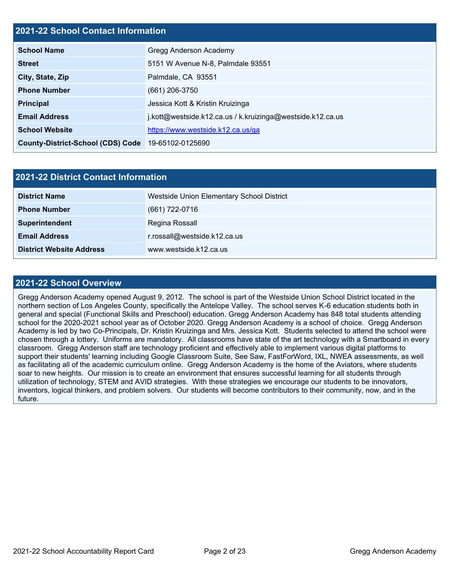### **2021-22 School Contact Information**

| <b>School Name</b>                       | Gregg Anderson Academy                                     |
|------------------------------------------|------------------------------------------------------------|
| <b>Street</b>                            | 5151 W Avenue N-8, Palmdale 93551                          |
| City, State, Zip                         | Palmdale, CA 93551                                         |
| <b>Phone Number</b>                      | $(661)$ 206-3750                                           |
| <b>Principal</b>                         | Jessica Kott & Kristin Kruizinga                           |
| <b>Email Address</b>                     | j.kott@westside.k12.ca.us / k.kruizinga@westside.k12.ca.us |
| <b>School Website</b>                    | https://www.westside.k12.ca.us/ga                          |
| <b>County-District-School (CDS) Code</b> | 19-65102-0125690                                           |

| 2021-22 District Contact Information |                                           |  |  |  |
|--------------------------------------|-------------------------------------------|--|--|--|
| <b>District Name</b>                 | Westside Union Elementary School District |  |  |  |
| <b>Phone Number</b>                  | $(661) 722 - 0716$                        |  |  |  |
| Superintendent                       | Regina Rossall                            |  |  |  |
| <b>Email Address</b>                 | r.rossall@westside.k12.ca.us              |  |  |  |
| <b>District Website Address</b>      | www.westside.k12.ca.us                    |  |  |  |

### **2021-22 School Overview**

Gregg Anderson Academy opened August 9, 2012. The school is part of the Westside Union School District located in the northern section of Los Angeles County, specifically the Antelope Valley. The school serves K-6 education students both in general and special (Functional Skills and Preschool) education. Gregg Anderson Academy has 848 total students attending school for the 2020-2021 school year as of October 2020. Gregg Anderson Academy is a school of choice. Gregg Anderson Academy is led by two Co-Principals, Dr. Kristin Kruizinga and Mrs. Jessica Kott. Students selected to attend the school were chosen through a lottery. Uniforms are mandatory. All classrooms have state of the art technology with a Smartboard in every classroom. Gregg Anderson staff are technology proficient and effectively able to implement various digital platforms to support their students' learning including Google Classroom Suite, See Saw, FastForWord, IXL, NWEA assessments, as well as facilitating all of the academic curriculum online. Gregg Anderson Academy is the home of the Aviators, where students soar to new heights. Our mission is to create an environment that ensures successful learning for all students through utilization of technology, STEM and AVID strategies. With these strategies we encourage our students to be innovators, inventors, logical thinkers, and problem solvers. Our students will become contributors to their community, now, and in the future.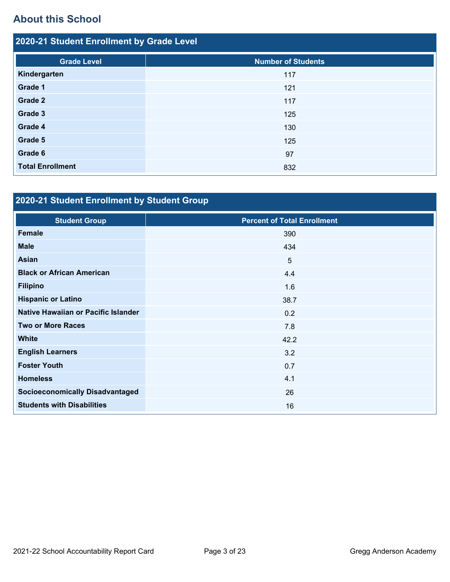# **About this School**

| 2020-21 Student Enrollment by Grade Level |                           |  |  |  |
|-------------------------------------------|---------------------------|--|--|--|
| <b>Grade Level</b>                        | <b>Number of Students</b> |  |  |  |
| Kindergarten                              | 117                       |  |  |  |
| Grade 1                                   | 121                       |  |  |  |
| Grade 2                                   | 117                       |  |  |  |
| Grade 3                                   | 125                       |  |  |  |
| Grade 4                                   | 130                       |  |  |  |
| Grade 5                                   | 125                       |  |  |  |
| Grade 6                                   | 97                        |  |  |  |
| <b>Total Enrollment</b>                   | 832                       |  |  |  |

# **2020-21 Student Enrollment by Student Group**

| <b>Student Group</b>                   | <b>Percent of Total Enrollment</b> |
|----------------------------------------|------------------------------------|
| <b>Female</b>                          | 390                                |
| <b>Male</b>                            | 434                                |
| <b>Asian</b>                           | 5                                  |
| <b>Black or African American</b>       | 4.4                                |
| <b>Filipino</b>                        | 1.6                                |
| <b>Hispanic or Latino</b>              | 38.7                               |
| Native Hawaiian or Pacific Islander    | 0.2                                |
| <b>Two or More Races</b>               | 7.8                                |
| <b>White</b>                           | 42.2                               |
| <b>English Learners</b>                | 3.2                                |
| <b>Foster Youth</b>                    | 0.7                                |
| <b>Homeless</b>                        | 4.1                                |
| <b>Socioeconomically Disadvantaged</b> | 26                                 |
| <b>Students with Disabilities</b>      | 16                                 |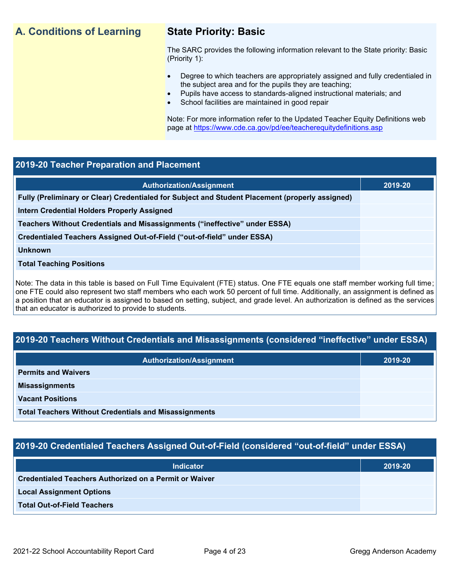# **A. Conditions of Learning State Priority: Basic**

The SARC provides the following information relevant to the State priority: Basic (Priority 1):

- Degree to which teachers are appropriately assigned and fully credentialed in the subject area and for the pupils they are teaching;
	- Pupils have access to standards-aligned instructional materials; and
- School facilities are maintained in good repair

Note: For more information refer to the Updated Teacher Equity Definitions web page at<https://www.cde.ca.gov/pd/ee/teacherequitydefinitions.asp>

### **2019-20 Teacher Preparation and Placement**

| <b>Authorization/Assignment</b>                                                                 | 2019-20 |
|-------------------------------------------------------------------------------------------------|---------|
| Fully (Preliminary or Clear) Credentialed for Subject and Student Placement (properly assigned) |         |
| Intern Credential Holders Properly Assigned                                                     |         |
| Teachers Without Credentials and Misassignments ("ineffective" under ESSA)                      |         |
| Credentialed Teachers Assigned Out-of-Field ("out-of-field" under ESSA)                         |         |
| <b>Unknown</b>                                                                                  |         |
| <b>Total Teaching Positions</b>                                                                 |         |
|                                                                                                 |         |

Note: The data in this table is based on Full Time Equivalent (FTE) status. One FTE equals one staff member working full time; one FTE could also represent two staff members who each work 50 percent of full time. Additionally, an assignment is defined as a position that an educator is assigned to based on setting, subject, and grade level. An authorization is defined as the services that an educator is authorized to provide to students.

# **2019-20 Teachers Without Credentials and Misassignments (considered "ineffective" under ESSA)**

| <b>Authorization/Assignment</b>                              | 2019-20 |
|--------------------------------------------------------------|---------|
| <b>Permits and Waivers</b>                                   |         |
| <b>Misassignments</b>                                        |         |
| <b>Vacant Positions</b>                                      |         |
| <b>Total Teachers Without Credentials and Misassignments</b> |         |

# **2019-20 Credentialed Teachers Assigned Out-of-Field (considered "out-of-field" under ESSA)**

| Indicator                                                     | 2019-20 |
|---------------------------------------------------------------|---------|
| <b>Credentialed Teachers Authorized on a Permit or Waiver</b> |         |
| <b>Local Assignment Options</b>                               |         |
| <b>Total Out-of-Field Teachers</b>                            |         |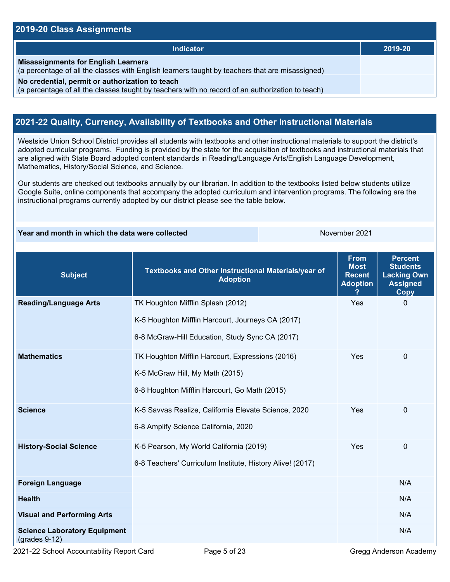### **2019-20 Class Assignments**

| Indicator                                                                                                                                           | 2019-20 |
|-----------------------------------------------------------------------------------------------------------------------------------------------------|---------|
| <b>Misassignments for English Learners</b><br>(a percentage of all the classes with English learners taught by teachers that are misassigned)       |         |
| No credential, permit or authorization to teach<br>(a percentage of all the classes taught by teachers with no record of an authorization to teach) |         |

## **2021-22 Quality, Currency, Availability of Textbooks and Other Instructional Materials**

Westside Union School District provides all students with textbooks and other instructional materials to support the district's adopted curricular programs. Funding is provided by the state for the acquisition of textbooks and instructional materials that are aligned with State Board adopted content standards in Reading/Language Arts/English Language Development, Mathematics, History/Social Science, and Science.

Our students are checked out textbooks annually by our librarian. In addition to the textbooks listed below students utilize Google Suite, online components that accompany the adopted curriculum and intervention programs. The following are the instructional programs currently adopted by our district please see the table below.

### **Year and month in which the data were collected** November 2021

| <b>Subject</b>                                         | Textbooks and Other Instructional Materials/year of<br><b>Adoption</b>                                                                    | <b>From</b><br><b>Most</b><br><b>Recent</b><br><b>Adoption</b> | <b>Percent</b><br><b>Students</b><br><b>Lacking Own</b><br><b>Assigned</b><br><b>Copy</b> |
|--------------------------------------------------------|-------------------------------------------------------------------------------------------------------------------------------------------|----------------------------------------------------------------|-------------------------------------------------------------------------------------------|
| <b>Reading/Language Arts</b>                           | TK Houghton Mifflin Splash (2012)<br>K-5 Houghton Mifflin Harcourt, Journeys CA (2017)<br>6-8 McGraw-Hill Education, Study Sync CA (2017) | Yes                                                            | $\Omega$                                                                                  |
| <b>Mathematics</b>                                     | TK Houghton Mifflin Harcourt, Expressions (2016)<br>K-5 McGraw Hill, My Math (2015)<br>6-8 Houghton Mifflin Harcourt, Go Math (2015)      | Yes                                                            | 0                                                                                         |
| <b>Science</b>                                         | K-5 Savvas Realize, California Elevate Science, 2020<br>6-8 Amplify Science California, 2020                                              | Yes                                                            | $\Omega$                                                                                  |
| <b>History-Social Science</b>                          | K-5 Pearson, My World California (2019)<br>6-8 Teachers' Curriculum Institute, History Alive! (2017)                                      | Yes                                                            | $\mathbf 0$                                                                               |
| <b>Foreign Language</b>                                |                                                                                                                                           |                                                                | N/A                                                                                       |
| <b>Health</b>                                          |                                                                                                                                           |                                                                | N/A                                                                                       |
| <b>Visual and Performing Arts</b>                      |                                                                                                                                           |                                                                | N/A                                                                                       |
| <b>Science Laboratory Equipment</b><br>$(grades 9-12)$ |                                                                                                                                           |                                                                | N/A                                                                                       |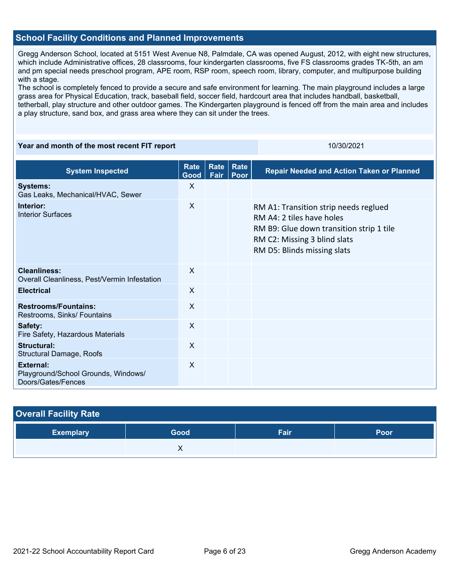### **School Facility Conditions and Planned Improvements**

Gregg Anderson School, located at 5151 West Avenue N8, Palmdale, CA was opened August, 2012, with eight new structures, which include Administrative offices, 28 classrooms, four kindergarten classrooms, five FS classrooms grades TK-5th, an am and pm special needs preschool program, APE room, RSP room, speech room, library, computer, and multipurpose building with a stage.

The school is completely fenced to provide a secure and safe environment for learning. The main playground includes a large grass area for Physical Education, track, baseball field, soccer field, hardcourt area that includes handball, basketball, tetherball, play structure and other outdoor games. The Kindergarten playground is fenced off from the main area and includes a play structure, sand box, and grass area where they can sit under the trees.

### **Year and month of the most recent FIT report** 10/30/2021 10/30/2021

| <b>System Inspected</b>                                                       | Rate<br>Good | Rate<br>Fair | Rate<br>Poor | <b>Repair Needed and Action Taken or Planned</b>                                                                                                                              |
|-------------------------------------------------------------------------------|--------------|--------------|--------------|-------------------------------------------------------------------------------------------------------------------------------------------------------------------------------|
| <b>Systems:</b><br>Gas Leaks, Mechanical/HVAC, Sewer                          | X            |              |              |                                                                                                                                                                               |
| Interior:<br><b>Interior Surfaces</b>                                         | $\sf X$      |              |              | RM A1: Transition strip needs reglued<br>RM A4: 2 tiles have holes<br>RM B9: Glue down transition strip 1 tile<br>RM C2: Missing 3 blind slats<br>RM D5: Blinds missing slats |
| Cleanliness:<br>Overall Cleanliness, Pest/Vermin Infestation                  | X            |              |              |                                                                                                                                                                               |
| <b>Electrical</b>                                                             | $\times$     |              |              |                                                                                                                                                                               |
| <b>Restrooms/Fountains:</b><br>Restrooms, Sinks/ Fountains                    | $\mathsf{X}$ |              |              |                                                                                                                                                                               |
| Safety:<br>Fire Safety, Hazardous Materials                                   | X            |              |              |                                                                                                                                                                               |
| Structural:<br><b>Structural Damage, Roofs</b>                                | $\mathsf{X}$ |              |              |                                                                                                                                                                               |
| <b>External:</b><br>Playground/School Grounds, Windows/<br>Doors/Gates/Fences | X            |              |              |                                                                                                                                                                               |

| <b>Overall Facility Rate</b> |      |      |      |  |  |
|------------------------------|------|------|------|--|--|
| <b>Exemplary</b>             | Good | Fair | Poor |  |  |
|                              |      |      |      |  |  |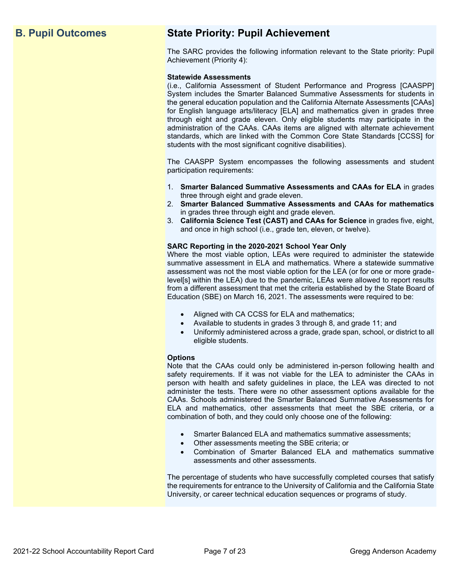# **B. Pupil Outcomes State Priority: Pupil Achievement**

The SARC provides the following information relevant to the State priority: Pupil Achievement (Priority 4):

### **Statewide Assessments**

(i.e., California Assessment of Student Performance and Progress [CAASPP] System includes the Smarter Balanced Summative Assessments for students in the general education population and the California Alternate Assessments [CAAs] for English language arts/literacy [ELA] and mathematics given in grades three through eight and grade eleven. Only eligible students may participate in the administration of the CAAs. CAAs items are aligned with alternate achievement standards, which are linked with the Common Core State Standards [CCSS] for students with the most significant cognitive disabilities).

The CAASPP System encompasses the following assessments and student participation requirements:

- 1. **Smarter Balanced Summative Assessments and CAAs for ELA** in grades three through eight and grade eleven.
- 2. **Smarter Balanced Summative Assessments and CAAs for mathematics** in grades three through eight and grade eleven.
- 3. **California Science Test (CAST) and CAAs for Science** in grades five, eight, and once in high school (i.e., grade ten, eleven, or twelve).

### **SARC Reporting in the 2020-2021 School Year Only**

Where the most viable option, LEAs were required to administer the statewide summative assessment in ELA and mathematics. Where a statewide summative assessment was not the most viable option for the LEA (or for one or more gradelevel[s] within the LEA) due to the pandemic, LEAs were allowed to report results from a different assessment that met the criteria established by the State Board of Education (SBE) on March 16, 2021. The assessments were required to be:

- Aligned with CA CCSS for ELA and mathematics;
- Available to students in grades 3 through 8, and grade 11; and
- Uniformly administered across a grade, grade span, school, or district to all eligible students.

### **Options**

Note that the CAAs could only be administered in-person following health and safety requirements. If it was not viable for the LEA to administer the CAAs in person with health and safety guidelines in place, the LEA was directed to not administer the tests. There were no other assessment options available for the CAAs. Schools administered the Smarter Balanced Summative Assessments for ELA and mathematics, other assessments that meet the SBE criteria, or a combination of both, and they could only choose one of the following:

- Smarter Balanced ELA and mathematics summative assessments;
- Other assessments meeting the SBE criteria; or
- Combination of Smarter Balanced ELA and mathematics summative assessments and other assessments.

The percentage of students who have successfully completed courses that satisfy the requirements for entrance to the University of California and the California State University, or career technical education sequences or programs of study.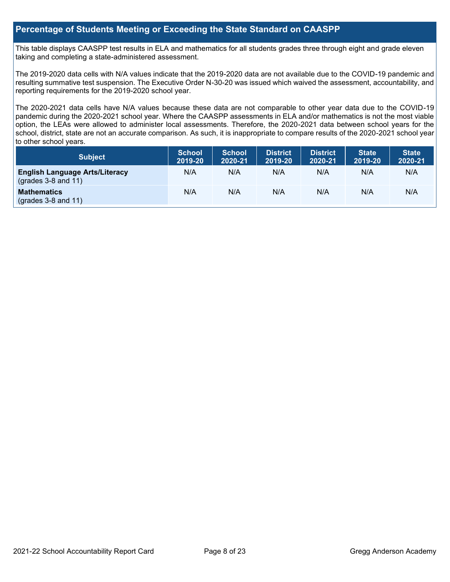### **Percentage of Students Meeting or Exceeding the State Standard on CAASPP**

This table displays CAASPP test results in ELA and mathematics for all students grades three through eight and grade eleven taking and completing a state-administered assessment.

The 2019-2020 data cells with N/A values indicate that the 2019-2020 data are not available due to the COVID-19 pandemic and resulting summative test suspension. The Executive Order N-30-20 was issued which waived the assessment, accountability, and reporting requirements for the 2019-2020 school year.

The 2020-2021 data cells have N/A values because these data are not comparable to other year data due to the COVID-19 pandemic during the 2020-2021 school year. Where the CAASPP assessments in ELA and/or mathematics is not the most viable option, the LEAs were allowed to administer local assessments. Therefore, the 2020-2021 data between school years for the school, district, state are not an accurate comparison. As such, it is inappropriate to compare results of the 2020-2021 school year to other school years.

| Subject                                                        | <b>School</b><br>2019-20 | <b>School</b><br>2020-21 | <b>District</b><br>2019-20 | <b>District</b><br>2020-21 | <b>State</b><br>2019-20 | <b>State</b><br>2020-21 |
|----------------------------------------------------------------|--------------------------|--------------------------|----------------------------|----------------------------|-------------------------|-------------------------|
| <b>English Language Arts/Literacy</b><br>$(grades 3-8 and 11)$ | N/A                      | N/A                      | N/A                        | N/A                        | N/A                     | N/A                     |
| <b>Mathematics</b><br>$(grades 3-8 and 11)$                    | N/A                      | N/A                      | N/A                        | N/A                        | N/A                     | N/A                     |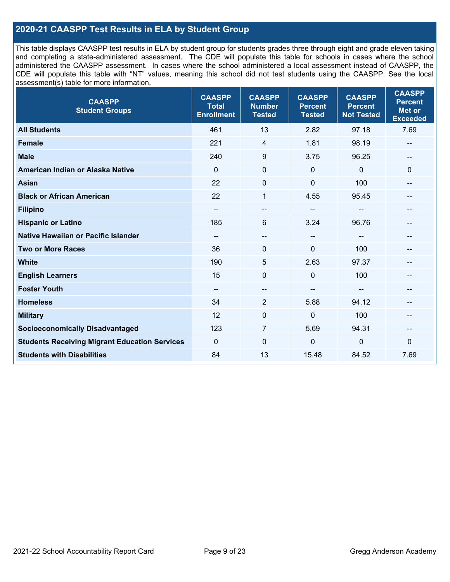## **2020-21 CAASPP Test Results in ELA by Student Group**

This table displays CAASPP test results in ELA by student group for students grades three through eight and grade eleven taking and completing a state-administered assessment. The CDE will populate this table for schools in cases where the school administered the CAASPP assessment. In cases where the school administered a local assessment instead of CAASPP, the CDE will populate this table with "NT" values, meaning this school did not test students using the CAASPP. See the local assessment(s) table for more information.

| <b>CAASPP</b><br><b>Student Groups</b>               | <b>CAASPP</b><br><b>Total</b><br><b>Enrollment</b> | <b>CAASPP</b><br><b>Number</b><br><b>Tested</b> | <b>CAASPP</b><br><b>Percent</b><br><b>Tested</b> | <b>CAASPP</b><br><b>Percent</b><br><b>Not Tested</b> | <b>CAASPP</b><br><b>Percent</b><br><b>Met or</b><br><b>Exceeded</b> |
|------------------------------------------------------|----------------------------------------------------|-------------------------------------------------|--------------------------------------------------|------------------------------------------------------|---------------------------------------------------------------------|
| <b>All Students</b>                                  | 461                                                | 13                                              | 2.82                                             | 97.18                                                | 7.69                                                                |
| <b>Female</b>                                        | 221                                                | 4                                               | 1.81                                             | 98.19                                                | --                                                                  |
| <b>Male</b>                                          | 240                                                | 9                                               | 3.75                                             | 96.25                                                | --                                                                  |
| American Indian or Alaska Native                     | $\mathbf 0$                                        | $\mathbf 0$                                     | $\mathbf 0$                                      | 0                                                    | $\mathbf 0$                                                         |
| <b>Asian</b>                                         | 22                                                 | 0                                               | $\mathbf 0$                                      | 100                                                  | --                                                                  |
| <b>Black or African American</b>                     | 22                                                 | 1                                               | 4.55                                             | 95.45                                                | $\sim$                                                              |
| <b>Filipino</b>                                      | --                                                 | --                                              | --                                               |                                                      |                                                                     |
| <b>Hispanic or Latino</b>                            | 185                                                | 6                                               | 3.24                                             | 96.76                                                | $=$                                                                 |
| Native Hawaiian or Pacific Islander                  | $\qquad \qquad -$                                  | --                                              | $\sim$                                           | --                                                   | --                                                                  |
| <b>Two or More Races</b>                             | 36                                                 | 0                                               | $\mathbf 0$                                      | 100                                                  | --                                                                  |
| <b>White</b>                                         | 190                                                | 5                                               | 2.63                                             | 97.37                                                | --                                                                  |
| <b>English Learners</b>                              | 15                                                 | $\mathbf 0$                                     | $\mathbf{0}$                                     | 100                                                  |                                                                     |
| <b>Foster Youth</b>                                  | $\qquad \qquad -$                                  | $-$                                             | $- -$                                            |                                                      |                                                                     |
| <b>Homeless</b>                                      | 34                                                 | $\overline{2}$                                  | 5.88                                             | 94.12                                                | --                                                                  |
| <b>Military</b>                                      | 12                                                 | 0                                               | $\mathbf 0$                                      | 100                                                  | --                                                                  |
| <b>Socioeconomically Disadvantaged</b>               | 123                                                | $\overline{7}$                                  | 5.69                                             | 94.31                                                | --                                                                  |
| <b>Students Receiving Migrant Education Services</b> | $\Omega$                                           | $\Omega$                                        | $\Omega$                                         | $\mathbf{0}$                                         | $\Omega$                                                            |
| <b>Students with Disabilities</b>                    | 84                                                 | 13                                              | 15.48                                            | 84.52                                                | 7.69                                                                |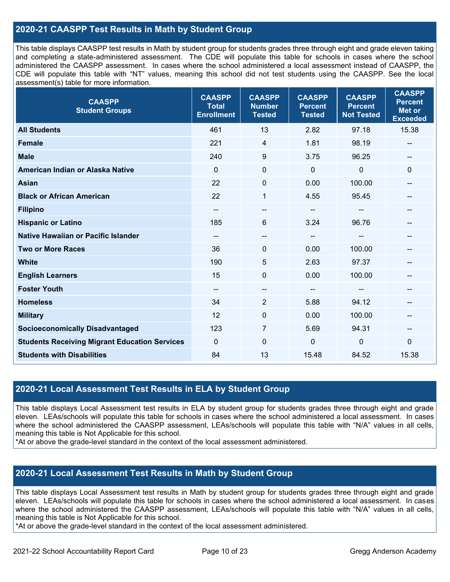### **2020-21 CAASPP Test Results in Math by Student Group**

This table displays CAASPP test results in Math by student group for students grades three through eight and grade eleven taking and completing a state-administered assessment. The CDE will populate this table for schools in cases where the school administered the CAASPP assessment. In cases where the school administered a local assessment instead of CAASPP, the CDE will populate this table with "NT" values, meaning this school did not test students using the CAASPP. See the local assessment(s) table for more information.

| <b>CAASPP</b><br><b>Student Groups</b>               | <b>CAASPP</b><br><b>Total</b><br><b>Enrollment</b> | <b>CAASPP</b><br><b>Number</b><br><b>Tested</b> | <b>CAASPP</b><br><b>Percent</b><br><b>Tested</b> | <b>CAASPP</b><br><b>Percent</b><br><b>Not Tested</b> | <b>CAASPP</b><br><b>Percent</b><br><b>Met or</b><br><b>Exceeded</b> |
|------------------------------------------------------|----------------------------------------------------|-------------------------------------------------|--------------------------------------------------|------------------------------------------------------|---------------------------------------------------------------------|
| <b>All Students</b>                                  | 461                                                | 13                                              | 2.82                                             | 97.18                                                | 15.38                                                               |
| <b>Female</b>                                        | 221                                                | 4                                               | 1.81                                             | 98.19                                                | --                                                                  |
| <b>Male</b>                                          | 240                                                | 9                                               | 3.75                                             | 96.25                                                | $\qquad \qquad -$                                                   |
| American Indian or Alaska Native                     | $\mathbf{0}$                                       | $\mathbf 0$                                     | 0                                                | $\mathbf 0$                                          | $\mathbf 0$                                                         |
| <b>Asian</b>                                         | 22                                                 | 0                                               | 0.00                                             | 100.00                                               | --                                                                  |
| <b>Black or African American</b>                     | 22                                                 | 1                                               | 4.55                                             | 95.45                                                | --                                                                  |
| <b>Filipino</b>                                      | --                                                 | --                                              | --                                               |                                                      |                                                                     |
| <b>Hispanic or Latino</b>                            | 185                                                | 6                                               | 3.24                                             | 96.76                                                | --                                                                  |
| <b>Native Hawaiian or Pacific Islander</b>           | --                                                 | --                                              | --                                               | $\overline{\phantom{a}}$                             | --                                                                  |
| <b>Two or More Races</b>                             | 36                                                 | 0                                               | 0.00                                             | 100.00                                               | --                                                                  |
| <b>White</b>                                         | 190                                                | 5                                               | 2.63                                             | 97.37                                                | --                                                                  |
| <b>English Learners</b>                              | 15                                                 | $\mathbf 0$                                     | 0.00                                             | 100.00                                               | --                                                                  |
| <b>Foster Youth</b>                                  | --                                                 | $\qquad \qquad -$                               | --                                               |                                                      |                                                                     |
| <b>Homeless</b>                                      | 34                                                 | $\overline{2}$                                  | 5.88                                             | 94.12                                                | --                                                                  |
| <b>Military</b>                                      | 12                                                 | $\pmb{0}$                                       | 0.00                                             | 100.00                                               | --                                                                  |
| <b>Socioeconomically Disadvantaged</b>               | 123                                                | 7                                               | 5.69                                             | 94.31                                                | --                                                                  |
| <b>Students Receiving Migrant Education Services</b> | $\mathbf{0}$                                       | $\Omega$                                        | 0                                                | $\mathbf 0$                                          | $\mathbf 0$                                                         |
| <b>Students with Disabilities</b>                    | 84                                                 | 13                                              | 15.48                                            | 84.52                                                | 15.38                                                               |

### **2020-21 Local Assessment Test Results in ELA by Student Group**

This table displays Local Assessment test results in ELA by student group for students grades three through eight and grade eleven. LEAs/schools will populate this table for schools in cases where the school administered a local assessment. In cases where the school administered the CAASPP assessment, LEAs/schools will populate this table with "N/A" values in all cells, meaning this table is Not Applicable for this school.

\*At or above the grade-level standard in the context of the local assessment administered.

### **2020-21 Local Assessment Test Results in Math by Student Group**

This table displays Local Assessment test results in Math by student group for students grades three through eight and grade eleven. LEAs/schools will populate this table for schools in cases where the school administered a local assessment. In cases where the school administered the CAASPP assessment, LEAs/schools will populate this table with "N/A" values in all cells, meaning this table is Not Applicable for this school.

\*At or above the grade-level standard in the context of the local assessment administered.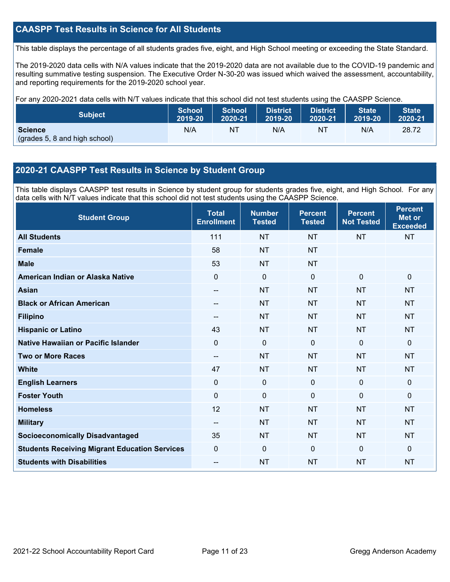### **CAASPP Test Results in Science for All Students**

This table displays the percentage of all students grades five, eight, and High School meeting or exceeding the State Standard.

The 2019-2020 data cells with N/A values indicate that the 2019-2020 data are not available due to the COVID-19 pandemic and resulting summative testing suspension. The Executive Order N-30-20 was issued which waived the assessment, accountability, and reporting requirements for the 2019-2020 school year.

For any 2020-2021 data cells with N/T values indicate that this school did not test students using the CAASPP Science.

| <b>Subject</b>                                  | <b>School</b> | <b>School</b> | <b>District</b> | District. | <b>State</b> | <b>State</b> |
|-------------------------------------------------|---------------|---------------|-----------------|-----------|--------------|--------------|
|                                                 | 2019-20       | 2020-21       | 2019-20         | 2020-21   | 2019-20      | 2020-21      |
| <b>Science</b><br>(grades 5, 8 and high school) | N/A           | NT            | N/A             | NT        | N/A          | 28.72        |

### **2020-21 CAASPP Test Results in Science by Student Group**

This table displays CAASPP test results in Science by student group for students grades five, eight, and High School. For any data cells with N/T values indicate that this school did not test students using the CAASPP Science.

| <b>Student Group</b>                                 | <b>Total</b><br><b>Enrollment</b> | <b>Number</b><br><b>Tested</b> | <b>Percent</b><br><b>Tested</b> | <b>Percent</b><br><b>Not Tested</b> | <b>Percent</b><br><b>Met or</b><br><b>Exceeded</b> |
|------------------------------------------------------|-----------------------------------|--------------------------------|---------------------------------|-------------------------------------|----------------------------------------------------|
| <b>All Students</b>                                  | 111                               | <b>NT</b>                      | <b>NT</b>                       | <b>NT</b>                           | <b>NT</b>                                          |
| <b>Female</b>                                        | 58                                | <b>NT</b>                      | <b>NT</b>                       |                                     |                                                    |
| <b>Male</b>                                          | 53                                | <b>NT</b>                      | <b>NT</b>                       |                                     |                                                    |
| American Indian or Alaska Native                     | 0                                 | 0                              | $\mathbf 0$                     | $\mathbf 0$                         | $\mathbf 0$                                        |
| <b>Asian</b>                                         | --                                | <b>NT</b>                      | <b>NT</b>                       | <b>NT</b>                           | <b>NT</b>                                          |
| <b>Black or African American</b>                     | --                                | <b>NT</b>                      | <b>NT</b>                       | <b>NT</b>                           | <b>NT</b>                                          |
| <b>Filipino</b>                                      |                                   | <b>NT</b>                      | <b>NT</b>                       | <b>NT</b>                           | <b>NT</b>                                          |
| <b>Hispanic or Latino</b>                            | 43                                | <b>NT</b>                      | <b>NT</b>                       | <b>NT</b>                           | <b>NT</b>                                          |
| Native Hawaiian or Pacific Islander                  | 0                                 | $\mathbf 0$                    | $\mathbf{0}$                    | $\overline{0}$                      | $\mathbf 0$                                        |
| <b>Two or More Races</b>                             | --                                | <b>NT</b>                      | <b>NT</b>                       | <b>NT</b>                           | <b>NT</b>                                          |
| <b>White</b>                                         | 47                                | <b>NT</b>                      | <b>NT</b>                       | <b>NT</b>                           | <b>NT</b>                                          |
| <b>English Learners</b>                              | 0                                 | $\mathbf 0$                    | $\mathbf 0$                     | $\mathbf 0$                         | $\mathbf 0$                                        |
| <b>Foster Youth</b>                                  | 0                                 | $\mathbf 0$                    | $\mathbf 0$                     | $\mathbf 0$                         | $\mathbf 0$                                        |
| <b>Homeless</b>                                      | 12                                | <b>NT</b>                      | <b>NT</b>                       | <b>NT</b>                           | <b>NT</b>                                          |
| <b>Military</b>                                      | --                                | <b>NT</b>                      | <b>NT</b>                       | <b>NT</b>                           | <b>NT</b>                                          |
| <b>Socioeconomically Disadvantaged</b>               | 35                                | <b>NT</b>                      | <b>NT</b>                       | <b>NT</b>                           | <b>NT</b>                                          |
| <b>Students Receiving Migrant Education Services</b> | 0                                 | 0                              | $\mathbf{0}$                    | $\mathbf{0}$                        | $\mathbf{0}$                                       |
| <b>Students with Disabilities</b>                    | --                                | <b>NT</b>                      | <b>NT</b>                       | <b>NT</b>                           | <b>NT</b>                                          |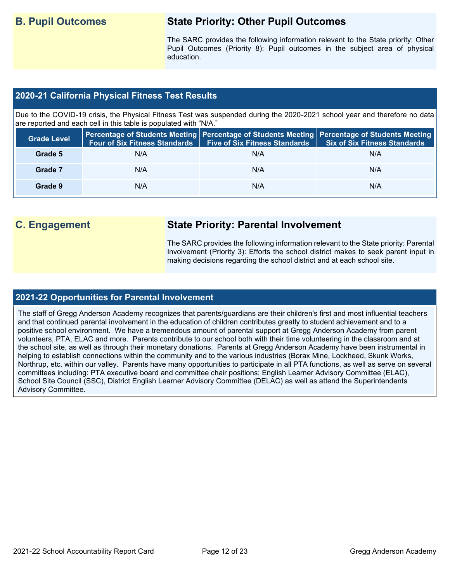# **B. Pupil Outcomes State Priority: Other Pupil Outcomes**

The SARC provides the following information relevant to the State priority: Other Pupil Outcomes (Priority 8): Pupil outcomes in the subject area of physical education.

### **2020-21 California Physical Fitness Test Results**

Due to the COVID-19 crisis, the Physical Fitness Test was suspended during the 2020-2021 school year and therefore no data are reported and each cell in this table is populated with "N/A."

| <b>Grade Level</b> | <b>Four of Six Fitness Standards</b> | <b>Five of Six Fitness Standards</b> | Percentage of Students Meeting   Percentage of Students Meeting   Percentage of Students Meeting  <br><b>Six of Six Fitness Standards</b> |
|--------------------|--------------------------------------|--------------------------------------|-------------------------------------------------------------------------------------------------------------------------------------------|
| Grade 5            | N/A                                  | N/A                                  | N/A                                                                                                                                       |
| Grade 7            | N/A                                  | N/A                                  | N/A                                                                                                                                       |
| Grade 9            | N/A                                  | N/A                                  | N/A                                                                                                                                       |

# **C. Engagement State Priority: Parental Involvement**

The SARC provides the following information relevant to the State priority: Parental Involvement (Priority 3): Efforts the school district makes to seek parent input in making decisions regarding the school district and at each school site.

### **2021-22 Opportunities for Parental Involvement**

The staff of Gregg Anderson Academy recognizes that parents/guardians are their children's first and most influential teachers and that continued parental involvement in the education of children contributes greatly to student achievement and to a positive school environment. We have a tremendous amount of parental support at Gregg Anderson Academy from parent volunteers, PTA, ELAC and more. Parents contribute to our school both with their time volunteering in the classroom and at the school site, as well as through their monetary donations. Parents at Gregg Anderson Academy have been instrumental in helping to establish connections within the community and to the various industries (Borax Mine, Lockheed, Skunk Works, Northrup, etc. within our valley. Parents have many opportunities to participate in all PTA functions, as well as serve on several committees including: PTA executive board and committee chair positions; English Learner Advisory Committee (ELAC), School Site Council (SSC), District English Learner Advisory Committee (DELAC) as well as attend the Superintendents Advisory Committee.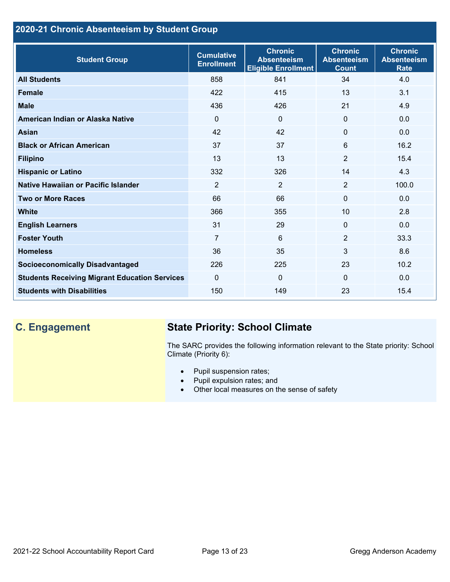## **2020-21 Chronic Absenteeism by Student Group**

| <b>Student Group</b>                                 | <b>Cumulative</b><br><b>Enrollment</b> | <b>Chronic</b><br><b>Absenteeism</b><br><b>Eligible Enrollment</b> | <b>Chronic</b><br><b>Absenteeism</b><br><b>Count</b> | <b>Chronic</b><br><b>Absenteeism</b><br><b>Rate</b> |
|------------------------------------------------------|----------------------------------------|--------------------------------------------------------------------|------------------------------------------------------|-----------------------------------------------------|
| <b>All Students</b>                                  | 858                                    | 841                                                                | 34                                                   | 4.0                                                 |
| <b>Female</b>                                        | 422                                    | 415                                                                | 13                                                   | 3.1                                                 |
| <b>Male</b>                                          | 436                                    | 426                                                                | 21                                                   | 4.9                                                 |
| American Indian or Alaska Native                     | $\Omega$                               | $\mathbf{0}$                                                       | $\mathbf{0}$                                         | 0.0                                                 |
| Asian                                                | 42                                     | 42                                                                 | $\mathbf{0}$                                         | 0.0                                                 |
| <b>Black or African American</b>                     | 37                                     | 37                                                                 | 6                                                    | 16.2                                                |
| <b>Filipino</b>                                      | 13                                     | 13                                                                 | $\overline{2}$                                       | 15.4                                                |
| <b>Hispanic or Latino</b>                            | 332                                    | 326                                                                | 14                                                   | 4.3                                                 |
| Native Hawaiian or Pacific Islander                  | $\overline{2}$                         | $\overline{2}$                                                     | $\overline{2}$                                       | 100.0                                               |
| <b>Two or More Races</b>                             | 66                                     | 66                                                                 | $\mathbf{0}$                                         | 0.0                                                 |
| <b>White</b>                                         | 366                                    | 355                                                                | 10                                                   | 2.8                                                 |
| <b>English Learners</b>                              | 31                                     | 29                                                                 | $\mathbf{0}$                                         | 0.0                                                 |
| <b>Foster Youth</b>                                  | $\overline{7}$                         | $6\phantom{1}$                                                     | 2                                                    | 33.3                                                |
| <b>Homeless</b>                                      | 36                                     | 35                                                                 | 3                                                    | 8.6                                                 |
| <b>Socioeconomically Disadvantaged</b>               | 226                                    | 225                                                                | 23                                                   | 10.2                                                |
| <b>Students Receiving Migrant Education Services</b> | $\mathbf{0}$                           | $\mathbf{0}$                                                       | $\Omega$                                             | 0.0                                                 |
| <b>Students with Disabilities</b>                    | 150                                    | 149                                                                | 23                                                   | 15.4                                                |

# **C. Engagement State Priority: School Climate**

The SARC provides the following information relevant to the State priority: School Climate (Priority 6):

- Pupil suspension rates;
- Pupil expulsion rates; and
- Other local measures on the sense of safety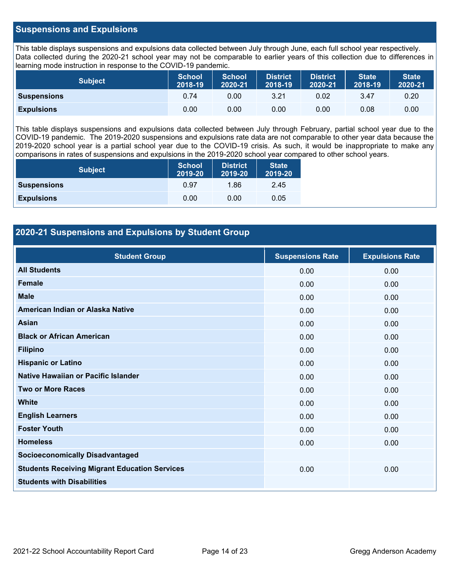### **Suspensions and Expulsions**

This table displays suspensions and expulsions data collected between July through June, each full school year respectively. Data collected during the 2020-21 school year may not be comparable to earlier years of this collection due to differences in learning mode instruction in response to the COVID-19 pandemic.

| <b>Subject</b>     | <b>School</b><br>2018-19 | <b>School</b><br>2020-21 | <b>District</b><br>2018-19 | <b>District</b><br>2020-21 | <b>State</b><br>2018-19 | <b>State</b><br>2020-21 |
|--------------------|--------------------------|--------------------------|----------------------------|----------------------------|-------------------------|-------------------------|
| <b>Suspensions</b> | 0.74                     | 0.00                     | 3.21                       | 0.02                       | 3.47                    | 0.20                    |
| <b>Expulsions</b>  | 0.00                     | 0.00                     | 0.00                       | 0.00                       | 0.08                    | 0.00                    |

This table displays suspensions and expulsions data collected between July through February, partial school year due to the COVID-19 pandemic. The 2019-2020 suspensions and expulsions rate data are not comparable to other year data because the 2019-2020 school year is a partial school year due to the COVID-19 crisis. As such, it would be inappropriate to make any comparisons in rates of suspensions and expulsions in the 2019-2020 school year compared to other school years.

| <b>Subject</b>     | School<br>2019-20 | <b>District</b><br>2019-20 | <b>State</b><br>2019-20 |
|--------------------|-------------------|----------------------------|-------------------------|
| <b>Suspensions</b> | 0.97              | 1.86                       | 2.45                    |
| <b>Expulsions</b>  | 0.00              | 0.00                       | 0.05                    |

### **2020-21 Suspensions and Expulsions by Student Group**

| <b>Student Group</b>                                 | <b>Suspensions Rate</b> | <b>Expulsions Rate</b> |
|------------------------------------------------------|-------------------------|------------------------|
| <b>All Students</b>                                  | 0.00                    | 0.00                   |
| Female                                               | 0.00                    | 0.00                   |
| <b>Male</b>                                          | 0.00                    | 0.00                   |
| American Indian or Alaska Native                     | 0.00                    | 0.00                   |
| <b>Asian</b>                                         | 0.00                    | 0.00                   |
| <b>Black or African American</b>                     | 0.00                    | 0.00                   |
| <b>Filipino</b>                                      | 0.00                    | 0.00                   |
| <b>Hispanic or Latino</b>                            | 0.00                    | 0.00                   |
| Native Hawaiian or Pacific Islander                  | 0.00                    | 0.00                   |
| <b>Two or More Races</b>                             | 0.00                    | 0.00                   |
| <b>White</b>                                         | 0.00                    | 0.00                   |
| <b>English Learners</b>                              | 0.00                    | 0.00                   |
| <b>Foster Youth</b>                                  | 0.00                    | 0.00                   |
| <b>Homeless</b>                                      | 0.00                    | 0.00                   |
| <b>Socioeconomically Disadvantaged</b>               |                         |                        |
| <b>Students Receiving Migrant Education Services</b> | 0.00                    | 0.00                   |
| <b>Students with Disabilities</b>                    |                         |                        |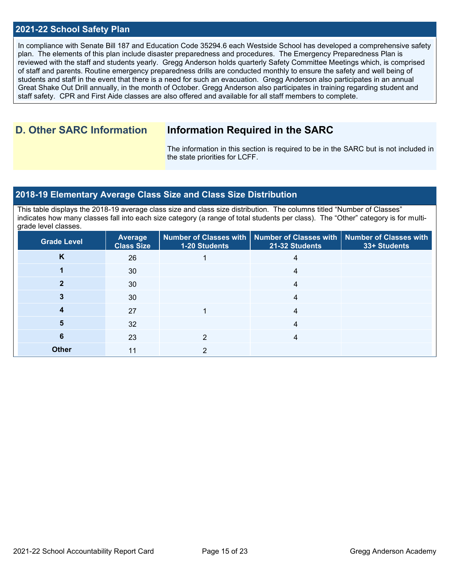### **2021-22 School Safety Plan**

In compliance with Senate Bill 187 and Education Code 35294.6 each Westside School has developed a comprehensive safety plan. The elements of this plan include disaster preparedness and procedures. The Emergency Preparedness Plan is reviewed with the staff and students yearly. Gregg Anderson holds quarterly Safety Committee Meetings which, is comprised of staff and parents. Routine emergency preparedness drills are conducted monthly to ensure the safety and well being of students and staff in the event that there is a need for such an evacuation. Gregg Anderson also participates in an annual Great Shake Out Drill annually, in the month of October. Gregg Anderson also participates in training regarding student and staff safety. CPR and First Aide classes are also offered and available for all staff members to complete.

# **D. Other SARC Information Information Required in the SARC**

The information in this section is required to be in the SARC but is not included in the state priorities for LCFF.

### **2018-19 Elementary Average Class Size and Class Size Distribution**

This table displays the 2018-19 average class size and class size distribution. The columns titled "Number of Classes" indicates how many classes fall into each size category (a range of total students per class). The "Other" category is for multigrade level classes.

| <b>Grade Level</b> | <b>Average</b><br><b>Class Size</b> | 1-20 Students | Number of Classes with   Number of Classes with  <br>21-32 Students | <b>Number of Classes with</b><br>33+ Students |
|--------------------|-------------------------------------|---------------|---------------------------------------------------------------------|-----------------------------------------------|
| K                  | 26                                  |               | 4                                                                   |                                               |
|                    | 30                                  |               | 4                                                                   |                                               |
|                    | 30                                  |               | 4                                                                   |                                               |
|                    | 30                                  |               | 4                                                                   |                                               |
|                    | 27                                  |               | 4                                                                   |                                               |
| 5                  | 32                                  |               | 4                                                                   |                                               |
| 6                  | 23                                  |               | 4                                                                   |                                               |
| <b>Other</b>       | 11                                  |               |                                                                     |                                               |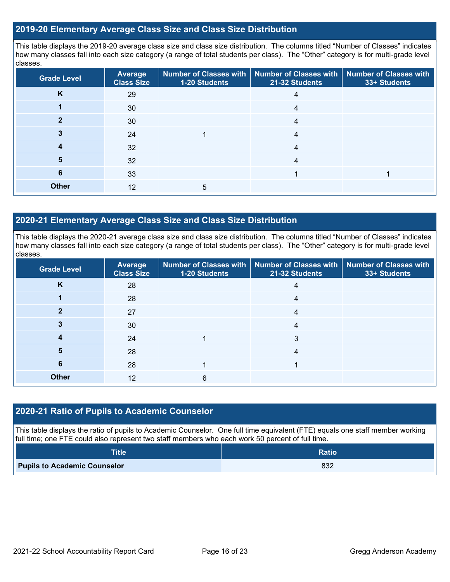### **2019-20 Elementary Average Class Size and Class Size Distribution**

This table displays the 2019-20 average class size and class size distribution. The columns titled "Number of Classes" indicates how many classes fall into each size category (a range of total students per class). The "Other" category is for multi-grade level classes.

| <b>Grade Level</b> | <b>Average</b><br><b>Class Size</b> | 1-20 Students | Number of Classes with   Number of Classes with   Number of Classes with<br>21-32 Students | 33+ Students |
|--------------------|-------------------------------------|---------------|--------------------------------------------------------------------------------------------|--------------|
| K                  | 29                                  |               | 4                                                                                          |              |
|                    | 30                                  |               | 4                                                                                          |              |
|                    | 30                                  |               | 4                                                                                          |              |
|                    | 24                                  |               | 4                                                                                          |              |
| 4                  | 32                                  |               | 4                                                                                          |              |
| 5                  | 32                                  |               | 4                                                                                          |              |
| 6                  | 33                                  |               |                                                                                            |              |
| <b>Other</b>       | 12                                  | 5             |                                                                                            |              |

### **2020-21 Elementary Average Class Size and Class Size Distribution**

This table displays the 2020-21 average class size and class size distribution. The columns titled "Number of Classes" indicates how many classes fall into each size category (a range of total students per class). The "Other" category is for multi-grade level classes.

| <b>Grade Level</b> | <b>Average</b><br><b>Class Size</b> | 1-20 Students | Number of Classes with   Number of Classes with   Number of Classes with<br>21-32 Students | 33+ Students |
|--------------------|-------------------------------------|---------------|--------------------------------------------------------------------------------------------|--------------|
| K                  | 28                                  |               | 4                                                                                          |              |
|                    | 28                                  |               | 4                                                                                          |              |
| 2                  | 27                                  |               | 4                                                                                          |              |
|                    | 30                                  |               | 4                                                                                          |              |
|                    | 24                                  |               | 3                                                                                          |              |
| 5                  | 28                                  |               | 4                                                                                          |              |
| 6                  | 28                                  |               |                                                                                            |              |
| <b>Other</b>       | 12                                  | 6             |                                                                                            |              |

### **2020-21 Ratio of Pupils to Academic Counselor**

This table displays the ratio of pupils to Academic Counselor. One full time equivalent (FTE) equals one staff member working full time; one FTE could also represent two staff members who each work 50 percent of full time.

| <b>Title</b>                        | <b>Ratio</b> |
|-------------------------------------|--------------|
| <b>Pupils to Academic Counselor</b> | 832          |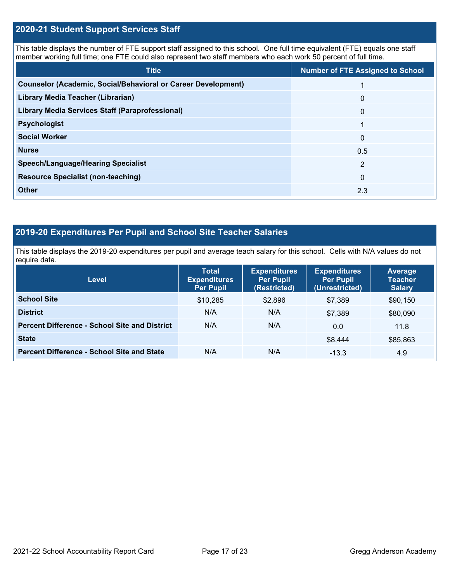### **2020-21 Student Support Services Staff**

This table displays the number of FTE support staff assigned to this school. One full time equivalent (FTE) equals one staff member working full time; one FTE could also represent two staff members who each work 50 percent of full time.

| <b>Title</b>                                                         | <b>Number of FTE Assigned to School</b> |
|----------------------------------------------------------------------|-----------------------------------------|
| <b>Counselor (Academic, Social/Behavioral or Career Development)</b> |                                         |
| Library Media Teacher (Librarian)                                    | $\mathbf{0}$                            |
| <b>Library Media Services Staff (Paraprofessional)</b>               | $\overline{0}$                          |
| <b>Psychologist</b>                                                  | 1                                       |
| <b>Social Worker</b>                                                 | $\mathbf{0}$                            |
| <b>Nurse</b>                                                         | 0.5                                     |
| <b>Speech/Language/Hearing Specialist</b>                            | 2                                       |
| <b>Resource Specialist (non-teaching)</b>                            | $\mathbf{0}$                            |
| <b>Other</b>                                                         | 2.3                                     |

## **2019-20 Expenditures Per Pupil and School Site Teacher Salaries**

This table displays the 2019-20 expenditures per pupil and average teach salary for this school. Cells with N/A values do not require data.

| <b>Level</b>                                         | <b>Total</b><br><b>Expenditures</b><br><b>Per Pupil</b> | <b>Expenditures</b><br><b>Per Pupil</b><br>(Restricted) | <b>Expenditures</b><br><b>Per Pupil</b><br>(Unrestricted) | <b>Average</b><br><b>Teacher</b><br><b>Salary</b> |
|------------------------------------------------------|---------------------------------------------------------|---------------------------------------------------------|-----------------------------------------------------------|---------------------------------------------------|
| <b>School Site</b>                                   | \$10,285                                                | \$2,896                                                 | \$7,389                                                   | \$90,150                                          |
| <b>District</b>                                      | N/A                                                     | N/A                                                     | \$7,389                                                   | \$80,090                                          |
| <b>Percent Difference - School Site and District</b> | N/A                                                     | N/A                                                     | 0.0                                                       | 11.8                                              |
| <b>State</b>                                         |                                                         |                                                         | \$8.444                                                   | \$85,863                                          |
| <b>Percent Difference - School Site and State</b>    | N/A                                                     | N/A                                                     | $-13.3$                                                   | 4.9                                               |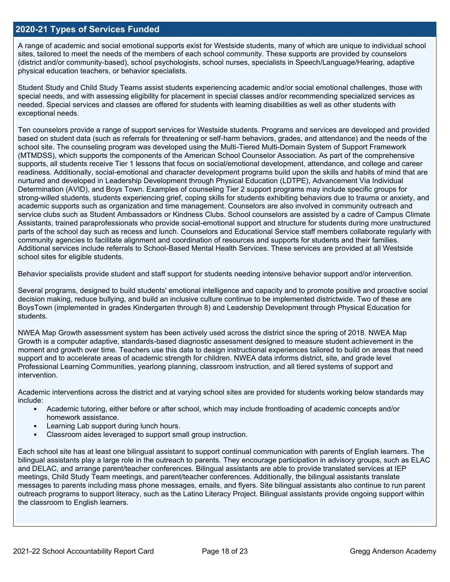### **2020-21 Types of Services Funded**

A range of academic and social emotional supports exist for Westside students, many of which are unique to individual school sites, tailored to meet the needs of the members of each school community. These supports are provided by counselors (district and/or community-based), school psychologists, school nurses, specialists in Speech/Language/Hearing, adaptive physical education teachers, or behavior specialists.

Student Study and Child Study Teams assist students experiencing academic and/or social emotional challenges, those with special needs, and with assessing eligibility for placement in special classes and/or recommending specialized services as needed. Special services and classes are offered for students with learning disabilities as well as other students with exceptional needs.

Ten counselors provide a range of support services for Westside students. Programs and services are developed and provided based on student data (such as referrals for threatening or self-harm behaviors, grades, and attendance) and the needs of the school site. The counseling program was developed using the Multi-Tiered Multi-Domain System of Support Framework (MTMDSS), which supports the components of the American School Counselor Association. As part of the comprehensive supports, all students receive Tier 1 lessons that focus on social/emotional development, attendance, and college and career readiness. Additionally, social-emotional and character development programs build upon the skills and habits of mind that are nurtured and developed in Leadership Development through Physical Education (LDTPE), Advancement Via Individual Determination (AVID), and Boys Town. Examples of counseling Tier 2 support programs may include specific groups for strong-willed students, students experiencing grief, coping skills for students exhibiting behaviors due to trauma or anxiety, and academic supports such as organization and time management. Counselors are also involved in community outreach and service clubs such as Student Ambassadors or Kindness Clubs. School counselors are assisted by a cadre of Campus Climate Assistants, trained paraprofessionals who provide social-emotional support and structure for students during more unstructured parts of the school day such as recess and lunch. Counselors and Educational Service staff members collaborate regularly with community agencies to facilitate alignment and coordination of resources and supports for students and their families. Additional services include referrals to School-Based Mental Health Services. These services are provided at all Westside school sites for eligible students.

Behavior specialists provide student and staff support for students needing intensive behavior support and/or intervention.

Several programs, designed to build students' emotional intelligence and capacity and to promote positive and proactive social decision making, reduce bullying, and build an inclusive culture continue to be implemented districtwide. Two of these are BoysTown (implemented in grades Kindergarten through 8) and Leadership Development through Physical Education for students.

NWEA Map Growth assessment system has been actively used across the district since the spring of 2018. NWEA Map Growth is a computer adaptive, standards-based diagnostic assessment designed to measure student achievement in the moment and growth over time. Teachers use this data to design instructional experiences tailored to build on areas that need support and to accelerate areas of academic strength for children. NWEA data informs district, site, and grade level Professional Learning Communities, yearlong planning, classroom instruction, and all tiered systems of support and intervention.

Academic interventions across the district and at varying school sites are provided for students working below standards may include:

- Academic tutoring, either before or after school, which may include frontloading of academic concepts and/or homework assistance.
- Learning Lab support during lunch hours.
- Classroom aides leveraged to support small group instruction.

Each school site has at least one bilingual assistant to support continual communication with parents of English learners. The bilingual assistants play a large role in the outreach to parents. They encourage participation in advisory groups, such as ELAC and DELAC, and arrange parent/teacher conferences. Bilingual assistants are able to provide translated services at IEP meetings, Child Study Team meetings, and parent/teacher conferences. Additionally, the bilingual assistants translate messages to parents including mass phone messages, emails, and flyers. Site bilingual assistants also continue to run parent outreach programs to support literacy, such as the Latino Literacy Project. Bilingual assistants provide ongoing support within the classroom to English learners.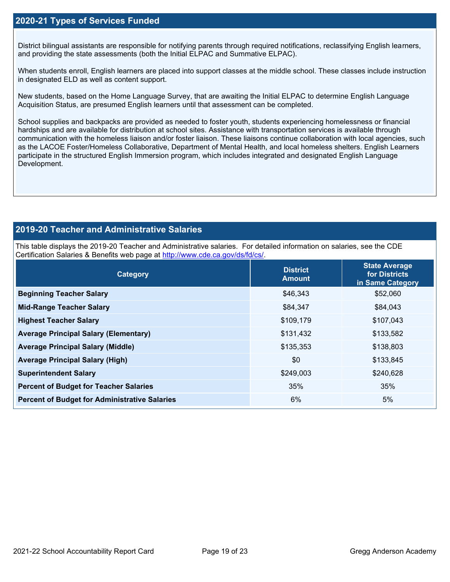### **2020-21 Types of Services Funded**

District bilingual assistants are responsible for notifying parents through required notifications, reclassifying English learners, and providing the state assessments (both the Initial ELPAC and Summative ELPAC).

When students enroll, English learners are placed into support classes at the middle school. These classes include instruction in designated ELD as well as content support.

New students, based on the Home Language Survey, that are awaiting the Initial ELPAC to determine English Language Acquisition Status, are presumed English learners until that assessment can be completed.

School supplies and backpacks are provided as needed to foster youth, students experiencing homelessness or financial hardships and are available for distribution at school sites. Assistance with transportation services is available through communication with the homeless liaison and/or foster liaison. These liaisons continue collaboration with local agencies, such as the LACOE Foster/Homeless Collaborative, Department of Mental Health, and local homeless shelters. English Learners participate in the structured English Immersion program, which includes integrated and designated English Language Development.

### **2019-20 Teacher and Administrative Salaries**

This table displays the 2019-20 Teacher and Administrative salaries. For detailed information on salaries, see the CDE Certification Salaries & Benefits web page at [http://www.cde.ca.gov/ds/fd/cs/.](http://www.cde.ca.gov/ds/fd/cs/)

| Category                                             | <b>District</b><br><b>Amount</b> | <b>State Average</b><br>for Districts<br>in Same Category |
|------------------------------------------------------|----------------------------------|-----------------------------------------------------------|
| <b>Beginning Teacher Salary</b>                      | \$46,343                         | \$52,060                                                  |
| <b>Mid-Range Teacher Salary</b>                      | \$84,347                         | \$84,043                                                  |
| <b>Highest Teacher Salary</b>                        | \$109,179                        | \$107,043                                                 |
| <b>Average Principal Salary (Elementary)</b>         | \$131,432                        | \$133,582                                                 |
| <b>Average Principal Salary (Middle)</b>             | \$135,353                        | \$138,803                                                 |
| <b>Average Principal Salary (High)</b>               | \$0                              | \$133,845                                                 |
| <b>Superintendent Salary</b>                         | \$249,003                        | \$240,628                                                 |
| <b>Percent of Budget for Teacher Salaries</b>        | 35%                              | 35%                                                       |
| <b>Percent of Budget for Administrative Salaries</b> | 6%                               | 5%                                                        |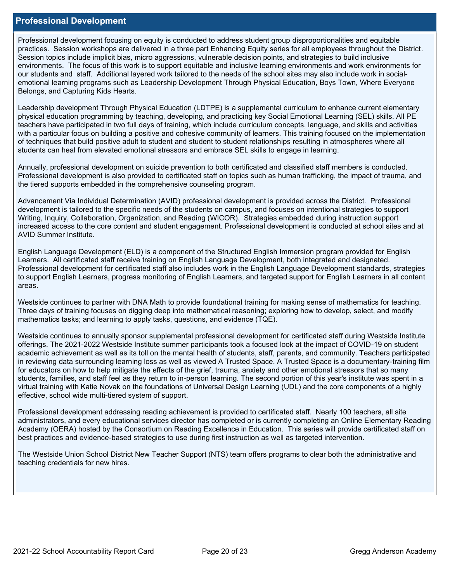### **Professional Development**

Professional development focusing on equity is conducted to address student group disproportionalities and equitable practices. Session workshops are delivered in a three part Enhancing Equity series for all employees throughout the District. Session topics include implicit bias, micro aggressions, vulnerable decision points, and strategies to build inclusive environments. The focus of this work is to support equitable and inclusive learning environments and work environments for our students and staff. Additional layered work tailored to the needs of the school sites may also include work in socialemotional learning programs such as Leadership Development Through Physical Education, Boys Town, Where Everyone Belongs, and Capturing Kids Hearts.

Leadership development Through Physical Education (LDTPE) is a supplemental curriculum to enhance current elementary physical education programming by teaching, developing, and practicing key Social Emotional Learning (SEL) skills. All PE teachers have participated in two full days of training, which include curriculum concepts, language, and skills and activities with a particular focus on building a positive and cohesive community of learners. This training focused on the implementation of techniques that build positive adult to student and student to student relationships resulting in atmospheres where all students can heal from elevated emotional stressors and embrace SEL skills to engage in learning.

Annually, professional development on suicide prevention to both certificated and classified staff members is conducted. Professional development is also provided to certificated staff on topics such as human trafficking, the impact of trauma, and the tiered supports embedded in the comprehensive counseling program.

Advancement Via Individual Determination (AVID) professional development is provided across the District. Professional development is tailored to the specific needs of the students on campus, and focuses on intentional strategies to support Writing, Inquiry, Collaboration, Organization, and Reading (WICOR). Strategies embedded during instruction support increased access to the core content and student engagement. Professional development is conducted at school sites and at AVID Summer Institute.

English Language Development (ELD) is a component of the Structured English Immersion program provided for English Learners. All certificated staff receive training on English Language Development, both integrated and designated. Professional development for certificated staff also includes work in the English Language Development standards, strategies to support English Learners, progress monitoring of English Learners, and targeted support for English Learners in all content areas.

Westside continues to partner with DNA Math to provide foundational training for making sense of mathematics for teaching. Three days of training focuses on digging deep into mathematical reasoning; exploring how to develop, select, and modify mathematics tasks; and learning to apply tasks, questions, and evidence (TQE).

Westside continues to annually sponsor supplemental professional development for certificated staff during Westside Institute offerings. The 2021-2022 Westside Institute summer participants took a focused look at the impact of COVID-19 on student academic achievement as well as its toll on the mental health of students, staff, parents, and community. Teachers participated in reviewing data surrounding learning loss as well as viewed A Trusted Space. A Trusted Space is a documentary-training film for educators on how to help mitigate the effects of the grief, trauma, anxiety and other emotional stressors that so many students, families, and staff feel as they return to in-person learning. The second portion of this year's institute was spent in a virtual training with Katie Novak on the foundations of Universal Design Learning (UDL) and the core components of a highly effective, school wide multi-tiered system of support.

Professional development addressing reading achievement is provided to certificated staff. Nearly 100 teachers, all site administrators, and every educational services director has completed or is currently completing an Online Elementary Reading Academy (OERA) hosted by the Consortium on Reading Excellence in Education. This series will provide certificated staff on best practices and evidence-based strategies to use during first instruction as well as targeted intervention.

The Westside Union School District New Teacher Support (NTS) team offers programs to clear both the administrative and teaching credentials for new hires.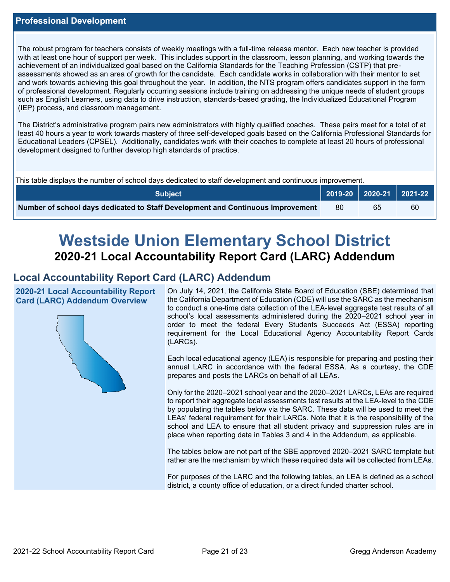The robust program for teachers consists of weekly meetings with a full-time release mentor. Each new teacher is provided with at least one hour of support per week. This includes support in the classroom, lesson planning, and working towards the achievement of an individualized goal based on the California Standards for the Teaching Profession (CSTP) that preassessments showed as an area of growth for the candidate. Each candidate works in collaboration with their mentor to set and work towards achieving this goal throughout the year. In addition, the NTS program offers candidates support in the form of professional development. Regularly occurring sessions include training on addressing the unique needs of student groups such as English Learners, using data to drive instruction, standards-based grading, the Individualized Educational Program (IEP) process, and classroom management.

The District's administrative program pairs new administrators with highly qualified coaches. These pairs meet for a total of at least 40 hours a year to work towards mastery of three self-developed goals based on the California Professional Standards for Educational Leaders (CPSEL). Additionally, candidates work with their coaches to complete at least 20 hours of professional development designed to further develop high standards of practice.

| This table displays the number of school days dedicated to staff development and continuous improvement. |  |                             |    |  |  |
|----------------------------------------------------------------------------------------------------------|--|-----------------------------|----|--|--|
| Subiect                                                                                                  |  | 2019-20   2020-21   2021-22 |    |  |  |
| Number of school days dedicated to Staff Development and Continuous Improvement                          |  | 65                          | 60 |  |  |

# **Westside Union Elementary School District 2020-21 Local Accountability Report Card (LARC) Addendum**

# **Local Accountability Report Card (LARC) Addendum**

**2020-21 Local Accountability Report Card (LARC) Addendum Overview**



On July 14, 2021, the California State Board of Education (SBE) determined that the California Department of Education (CDE) will use the SARC as the mechanism to conduct a one-time data collection of the LEA-level aggregate test results of all school's local assessments administered during the 2020–2021 school year in order to meet the federal Every Students Succeeds Act (ESSA) reporting requirement for the Local Educational Agency Accountability Report Cards (LARCs).

Each local educational agency (LEA) is responsible for preparing and posting their annual LARC in accordance with the federal ESSA. As a courtesy, the CDE prepares and posts the LARCs on behalf of all LEAs.

Only for the 2020–2021 school year and the 2020–2021 LARCs, LEAs are required to report their aggregate local assessments test results at the LEA-level to the CDE by populating the tables below via the SARC. These data will be used to meet the LEAs' federal requirement for their LARCs. Note that it is the responsibility of the school and LEA to ensure that all student privacy and suppression rules are in place when reporting data in Tables 3 and 4 in the Addendum, as applicable.

The tables below are not part of the SBE approved 2020–2021 SARC template but rather are the mechanism by which these required data will be collected from LEAs.

For purposes of the LARC and the following tables, an LEA is defined as a school district, a county office of education, or a direct funded charter school.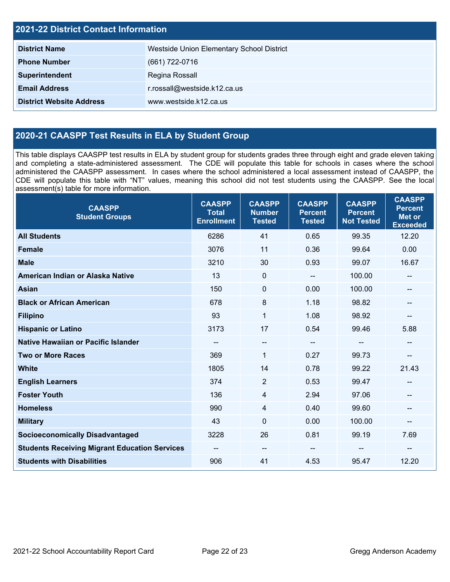| <b>2021-22 District Contact Information</b> |                                           |  |  |  |
|---------------------------------------------|-------------------------------------------|--|--|--|
| <b>District Name</b>                        | Westside Union Elementary School District |  |  |  |
| <b>Phone Number</b>                         | (661) 722-0716                            |  |  |  |
| Superintendent                              | Regina Rossall                            |  |  |  |
| <b>Email Address</b>                        | r.rossall@westside.k12.ca.us              |  |  |  |
| <b>District Website Address</b>             | www.westside.k12.ca.us                    |  |  |  |

# **2020-21 CAASPP Test Results in ELA by Student Group**

This table displays CAASPP test results in ELA by student group for students grades three through eight and grade eleven taking and completing a state-administered assessment. The CDE will populate this table for schools in cases where the school administered the CAASPP assessment. In cases where the school administered a local assessment instead of CAASPP, the CDE will populate this table with "NT" values, meaning this school did not test students using the CAASPP. See the local assessment(s) table for more information.

| <b>CAASPP</b><br><b>Student Groups</b>               | <b>CAASPP</b><br><b>Total</b><br><b>Enrollment</b> | <b>CAASPP</b><br><b>Number</b><br><b>Tested</b> | <b>CAASPP</b><br><b>Percent</b><br><b>Tested</b> | <b>CAASPP</b><br><b>Percent</b><br><b>Not Tested</b> | <b>CAASPP</b><br><b>Percent</b><br><b>Met or</b><br><b>Exceeded</b> |
|------------------------------------------------------|----------------------------------------------------|-------------------------------------------------|--------------------------------------------------|------------------------------------------------------|---------------------------------------------------------------------|
| <b>All Students</b>                                  | 6286                                               | 41                                              | 0.65                                             | 99.35                                                | 12.20                                                               |
| <b>Female</b>                                        | 3076                                               | 11                                              | 0.36                                             | 99.64                                                | 0.00                                                                |
| <b>Male</b>                                          | 3210                                               | 30                                              | 0.93                                             | 99.07                                                | 16.67                                                               |
| American Indian or Alaska Native                     | 13                                                 | $\mathbf 0$                                     | $\overline{\phantom{a}}$                         | 100.00                                               | --                                                                  |
| <b>Asian</b>                                         | 150                                                | $\mathbf 0$                                     | 0.00                                             | 100.00                                               | --                                                                  |
| <b>Black or African American</b>                     | 678                                                | 8                                               | 1.18                                             | 98.82                                                | --                                                                  |
| <b>Filipino</b>                                      | 93                                                 | 1                                               | 1.08                                             | 98.92                                                | --                                                                  |
| <b>Hispanic or Latino</b>                            | 3173                                               | 17                                              | 0.54                                             | 99.46                                                | 5.88                                                                |
| Native Hawaiian or Pacific Islander                  | --                                                 | $- -$                                           | $\sim$ $\sim$                                    | --                                                   | --                                                                  |
| <b>Two or More Races</b>                             | 369                                                | $\mathbf{1}$                                    | 0.27                                             | 99.73                                                | --                                                                  |
| <b>White</b>                                         | 1805                                               | 14                                              | 0.78                                             | 99.22                                                | 21.43                                                               |
| <b>English Learners</b>                              | 374                                                | $\overline{2}$                                  | 0.53                                             | 99.47                                                | --                                                                  |
| <b>Foster Youth</b>                                  | 136                                                | 4                                               | 2.94                                             | 97.06                                                |                                                                     |
| <b>Homeless</b>                                      | 990                                                | 4                                               | 0.40                                             | 99.60                                                | --                                                                  |
| <b>Military</b>                                      | 43                                                 | $\mathbf 0$                                     | 0.00                                             | 100.00                                               | --                                                                  |
| <b>Socioeconomically Disadvantaged</b>               | 3228                                               | 26                                              | 0.81                                             | 99.19                                                | 7.69                                                                |
| <b>Students Receiving Migrant Education Services</b> | $\qquad \qquad -$                                  | $\overline{\phantom{a}}$                        |                                                  | --                                                   | --                                                                  |
| <b>Students with Disabilities</b>                    | 906                                                | 41                                              | 4.53                                             | 95.47                                                | 12.20                                                               |